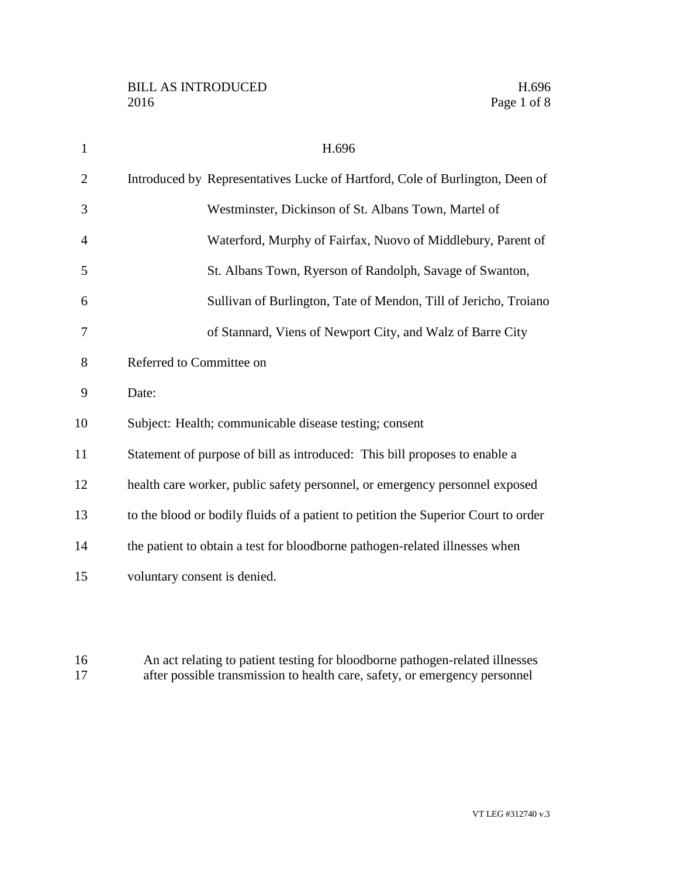| $\mathbf{1}$   | H.696                                                                              |
|----------------|------------------------------------------------------------------------------------|
| $\overline{2}$ | Introduced by Representatives Lucke of Hartford, Cole of Burlington, Deen of       |
| 3              | Westminster, Dickinson of St. Albans Town, Martel of                               |
| $\overline{4}$ | Waterford, Murphy of Fairfax, Nuovo of Middlebury, Parent of                       |
| 5              | St. Albans Town, Ryerson of Randolph, Savage of Swanton,                           |
| 6              | Sullivan of Burlington, Tate of Mendon, Till of Jericho, Troiano                   |
| 7              | of Stannard, Viens of Newport City, and Walz of Barre City                         |
| 8              | Referred to Committee on                                                           |
| 9              | Date:                                                                              |
| 10             | Subject: Health; communicable disease testing; consent                             |
| 11             | Statement of purpose of bill as introduced: This bill proposes to enable a         |
| 12             | health care worker, public safety personnel, or emergency personnel exposed        |
| 13             | to the blood or bodily fluids of a patient to petition the Superior Court to order |
| 14             | the patient to obtain a test for bloodborne pathogen-related illnesses when        |
| 15             | voluntary consent is denied.                                                       |

16 An act relating to patient testing for bloodborne pathogen-related illnesses<br>17 after possible transmission to health care, safety, or emergency personnel after possible transmission to health care, safety, or emergency personnel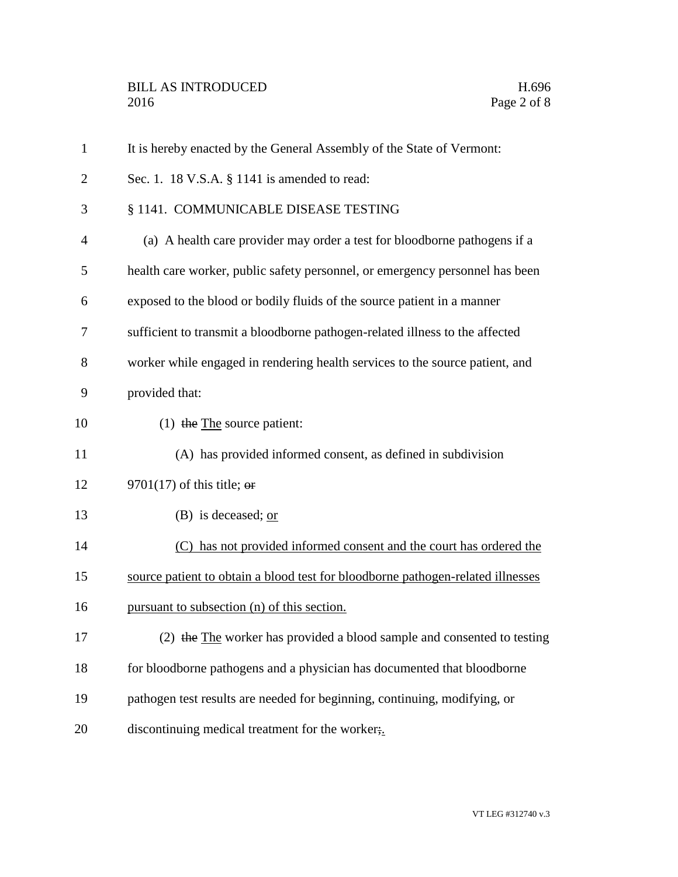| $\mathbf{1}$   | It is hereby enacted by the General Assembly of the State of Vermont:           |
|----------------|---------------------------------------------------------------------------------|
| $\overline{2}$ | Sec. 1. 18 V.S.A. § 1141 is amended to read:                                    |
| 3              | § 1141. COMMUNICABLE DISEASE TESTING                                            |
| $\overline{4}$ | (a) A health care provider may order a test for bloodborne pathogens if a       |
| 5              | health care worker, public safety personnel, or emergency personnel has been    |
| 6              | exposed to the blood or bodily fluids of the source patient in a manner         |
| 7              | sufficient to transmit a bloodborne pathogen-related illness to the affected    |
| 8              | worker while engaged in rendering health services to the source patient, and    |
| 9              | provided that:                                                                  |
| 10             | (1) the $The$ source patient:                                                   |
| 11             | (A) has provided informed consent, as defined in subdivision                    |
| 12             | 9701(17) of this title; $\theta$                                                |
| 13             | (B) is deceased; $or$                                                           |
| 14             | (C) has not provided informed consent and the court has ordered the             |
| 15             | source patient to obtain a blood test for bloodborne pathogen-related illnesses |
| 16             | pursuant to subsection (n) of this section.                                     |
| 17             | (2) the The worker has provided a blood sample and consented to testing         |
| 18             | for bloodborne pathogens and a physician has documented that bloodborne         |
| 19             | pathogen test results are needed for beginning, continuing, modifying, or       |
| 20             | discontinuing medical treatment for the worker;                                 |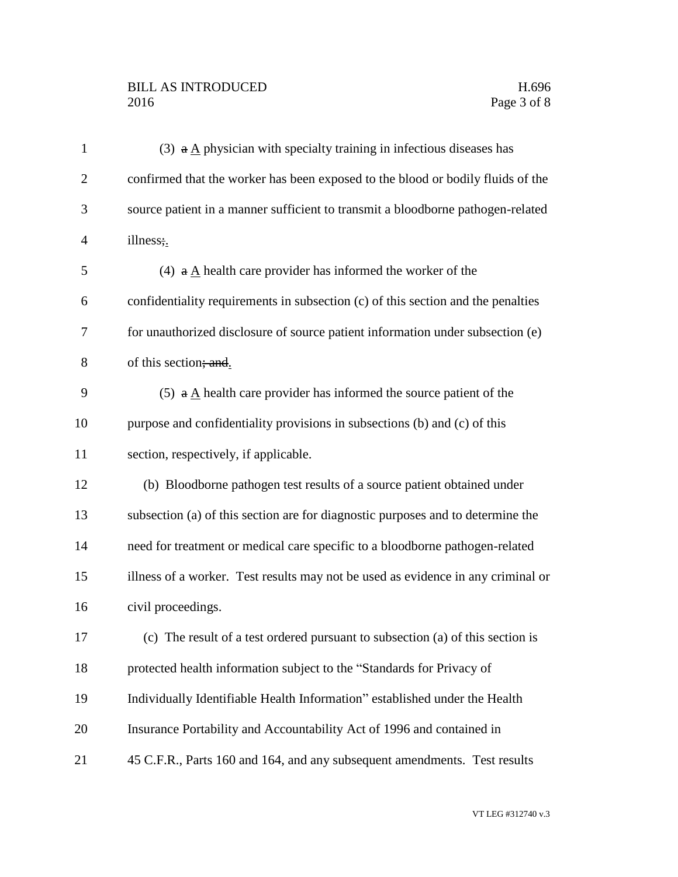## BILL AS INTRODUCED H.696<br>2016 Page 3 of 8

| $\mathbf{1}$   | (3) $a \triangle$ physician with specialty training in infectious diseases has   |
|----------------|----------------------------------------------------------------------------------|
| $\overline{2}$ | confirmed that the worker has been exposed to the blood or bodily fluids of the  |
| 3              | source patient in a manner sufficient to transmit a bloodborne pathogen-related  |
| $\overline{4}$ | illness;                                                                         |
| 5              | (4) $\mathbf{a} \mathbf{A}$ health care provider has informed the worker of the  |
| 6              | confidentiality requirements in subsection (c) of this section and the penalties |
| 7              | for unauthorized disclosure of source patient information under subsection (e)   |
| 8              | of this section; and.                                                            |
| 9              | (5) $\theta$ A health care provider has informed the source patient of the       |
| 10             | purpose and confidentiality provisions in subsections (b) and (c) of this        |
| 11             | section, respectively, if applicable.                                            |
| 12             | (b) Bloodborne pathogen test results of a source patient obtained under          |
| 13             | subsection (a) of this section are for diagnostic purposes and to determine the  |
| 14             | need for treatment or medical care specific to a bloodborne pathogen-related     |
| 15             | illness of a worker. Test results may not be used as evidence in any criminal or |
| 16             | civil proceedings.                                                               |
| 17             | (c) The result of a test ordered pursuant to subsection (a) of this section is   |
| 18             | protected health information subject to the "Standards for Privacy of            |
| 19             | Individually Identifiable Health Information" established under the Health       |
| 20             | Insurance Portability and Accountability Act of 1996 and contained in            |
| 21             | 45 C.F.R., Parts 160 and 164, and any subsequent amendments. Test results        |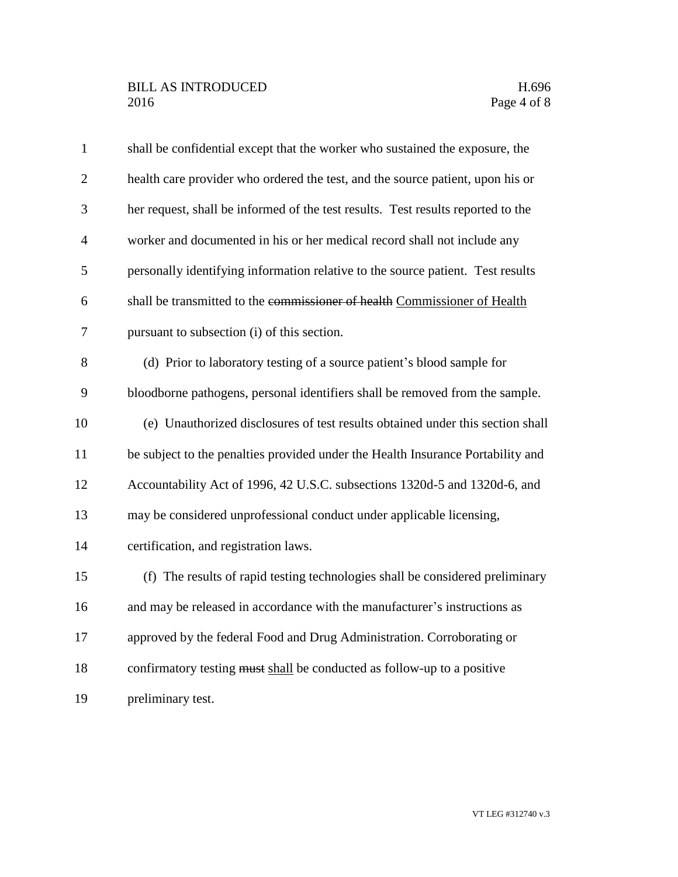| $\mathbf{1}$   | shall be confidential except that the worker who sustained the exposure, the     |
|----------------|----------------------------------------------------------------------------------|
| $\overline{2}$ | health care provider who ordered the test, and the source patient, upon his or   |
| 3              | her request, shall be informed of the test results. Test results reported to the |
| $\overline{4}$ | worker and documented in his or her medical record shall not include any         |
| 5              | personally identifying information relative to the source patient. Test results  |
| 6              | shall be transmitted to the commissioner of health Commissioner of Health        |
| 7              | pursuant to subsection (i) of this section.                                      |
| 8              | (d) Prior to laboratory testing of a source patient's blood sample for           |
| 9              | bloodborne pathogens, personal identifiers shall be removed from the sample.     |
| 10             | (e) Unauthorized disclosures of test results obtained under this section shall   |
| 11             | be subject to the penalties provided under the Health Insurance Portability and  |
| 12             | Accountability Act of 1996, 42 U.S.C. subsections 1320d-5 and 1320d-6, and       |
| 13             | may be considered unprofessional conduct under applicable licensing,             |
| 14             | certification, and registration laws.                                            |
| 15             | (f) The results of rapid testing technologies shall be considered preliminary    |
| 16             | and may be released in accordance with the manufacturer's instructions as        |
| 17             | approved by the federal Food and Drug Administration. Corroborating or           |
| 18             | confirmatory testing must shall be conducted as follow-up to a positive          |
| 19             | preliminary test.                                                                |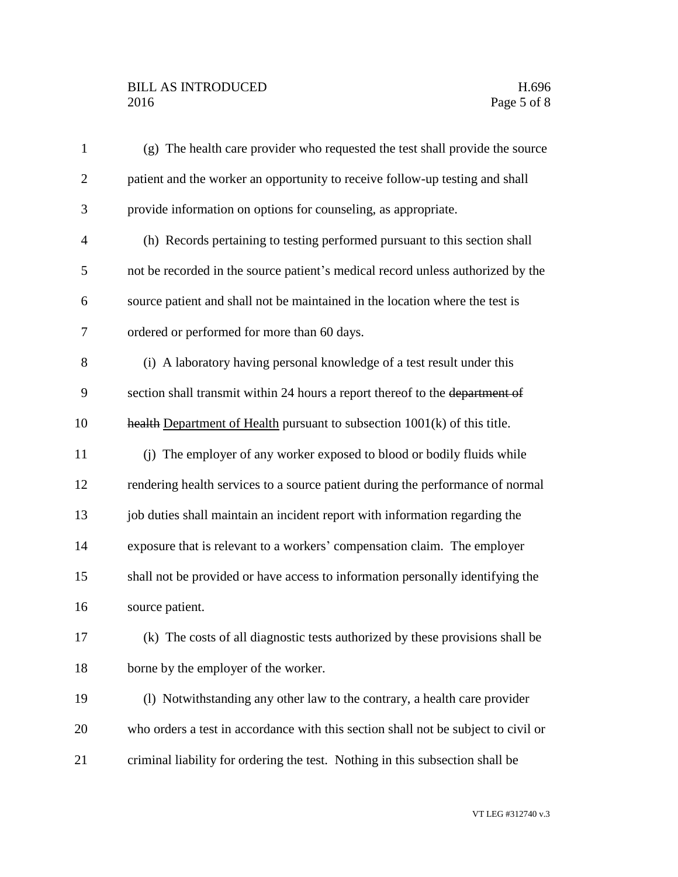## BILL AS INTRODUCED H.696<br>2016 Page 5 of 8

| $\mathbf{1}$   | (g) The health care provider who requested the test shall provide the source       |
|----------------|------------------------------------------------------------------------------------|
| $\overline{2}$ | patient and the worker an opportunity to receive follow-up testing and shall       |
| 3              | provide information on options for counseling, as appropriate.                     |
| $\overline{4}$ | (h) Records pertaining to testing performed pursuant to this section shall         |
| 5              | not be recorded in the source patient's medical record unless authorized by the    |
| 6              | source patient and shall not be maintained in the location where the test is       |
| 7              | ordered or performed for more than 60 days.                                        |
| 8              | (i) A laboratory having personal knowledge of a test result under this             |
| 9              | section shall transmit within 24 hours a report thereof to the department of       |
| 10             | health Department of Health pursuant to subsection $1001(k)$ of this title.        |
| 11             | (j) The employer of any worker exposed to blood or bodily fluids while             |
| 12             | rendering health services to a source patient during the performance of normal     |
| 13             | job duties shall maintain an incident report with information regarding the        |
| 14             | exposure that is relevant to a workers' compensation claim. The employer           |
| 15             | shall not be provided or have access to information personally identifying the     |
| 16             | source patient.                                                                    |
| 17             | (k) The costs of all diagnostic tests authorized by these provisions shall be      |
| 18             | borne by the employer of the worker.                                               |
| 19             | (1) Notwithstanding any other law to the contrary, a health care provider          |
| 20             | who orders a test in accordance with this section shall not be subject to civil or |
| 21             | criminal liability for ordering the test. Nothing in this subsection shall be      |
|                |                                                                                    |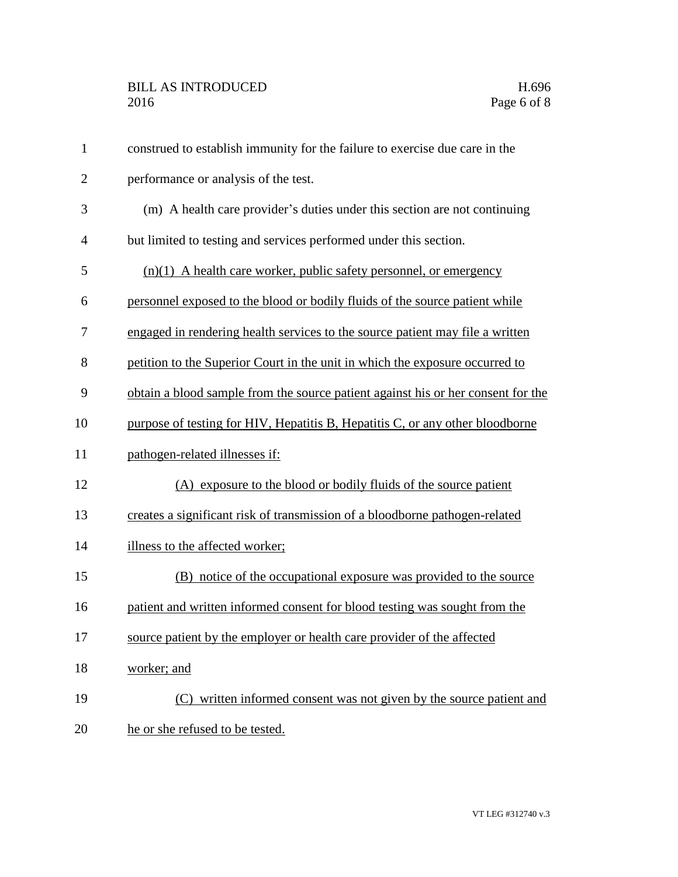| $\mathbf{1}$   | construed to establish immunity for the failure to exercise due care in the      |
|----------------|----------------------------------------------------------------------------------|
| $\overline{2}$ | performance or analysis of the test.                                             |
| 3              | (m) A health care provider's duties under this section are not continuing        |
| 4              | but limited to testing and services performed under this section.                |
| 5              | $(n)(1)$ A health care worker, public safety personnel, or emergency             |
| 6              | personnel exposed to the blood or bodily fluids of the source patient while      |
| 7              | engaged in rendering health services to the source patient may file a written    |
| 8              | petition to the Superior Court in the unit in which the exposure occurred to     |
| 9              | obtain a blood sample from the source patient against his or her consent for the |
| 10             | purpose of testing for HIV, Hepatitis B, Hepatitis C, or any other bloodborne    |
| 11             | pathogen-related illnesses if:                                                   |
| 12             | (A) exposure to the blood or bodily fluids of the source patient                 |
| 13             | creates a significant risk of transmission of a bloodborne pathogen-related      |
| 14             | illness to the affected worker;                                                  |
| 15             | (B) notice of the occupational exposure was provided to the source               |
| 16             | patient and written informed consent for blood testing was sought from the       |
| 17             | source patient by the employer or health care provider of the affected           |
| 18             | worker; and                                                                      |
| 19             | (C) written informed consent was not given by the source patient and             |
| 20             | he or she refused to be tested.                                                  |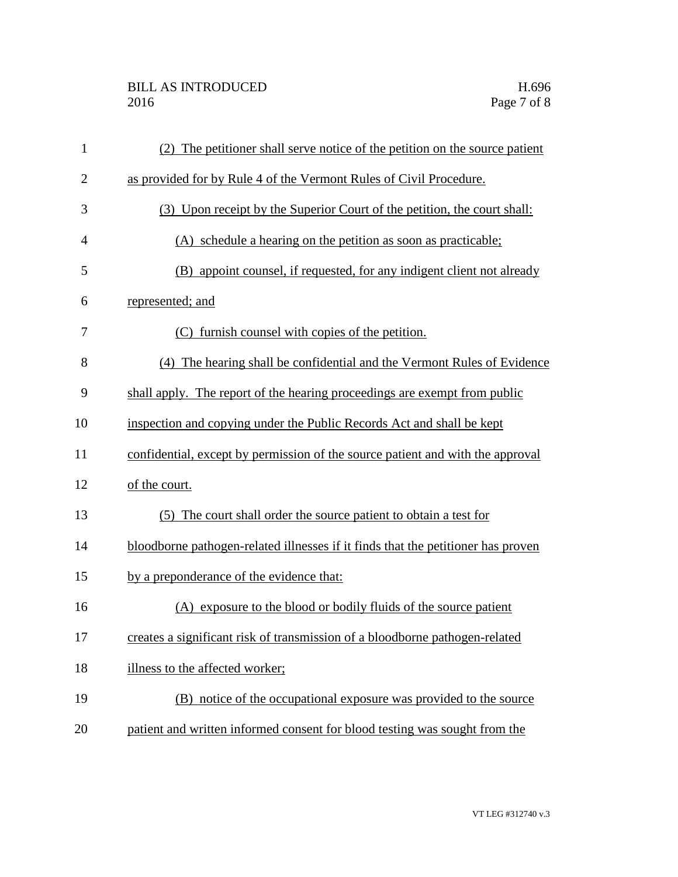## BILL AS INTRODUCED H.696<br>2016 Page 7 of 8

| $\mathbf{1}$   | (2) The petitioner shall serve notice of the petition on the source patient      |
|----------------|----------------------------------------------------------------------------------|
| $\overline{2}$ | as provided for by Rule 4 of the Vermont Rules of Civil Procedure.               |
| 3              | (3) Upon receipt by the Superior Court of the petition, the court shall:         |
| $\overline{4}$ | (A) schedule a hearing on the petition as soon as practicable;                   |
| 5              | (B) appoint counsel, if requested, for any indigent client not already           |
| 6              | represented; and                                                                 |
| 7              | (C) furnish counsel with copies of the petition.                                 |
| 8              | (4) The hearing shall be confidential and the Vermont Rules of Evidence          |
| 9              | shall apply. The report of the hearing proceedings are exempt from public        |
| 10             | inspection and copying under the Public Records Act and shall be kept            |
| 11             | confidential, except by permission of the source patient and with the approval   |
| 12             | of the court.                                                                    |
| 13             | The court shall order the source patient to obtain a test for<br>(5)             |
| 14             | bloodborne pathogen-related illnesses if it finds that the petitioner has proven |
| 15             | by a preponderance of the evidence that:                                         |
| 16             | (A) exposure to the blood or bodily fluids of the source patient                 |
| 17             | creates a significant risk of transmission of a bloodborne pathogen-related      |
| 18             | illness to the affected worker;                                                  |
| 19             | (B) notice of the occupational exposure was provided to the source               |
| 20             | patient and written informed consent for blood testing was sought from the       |